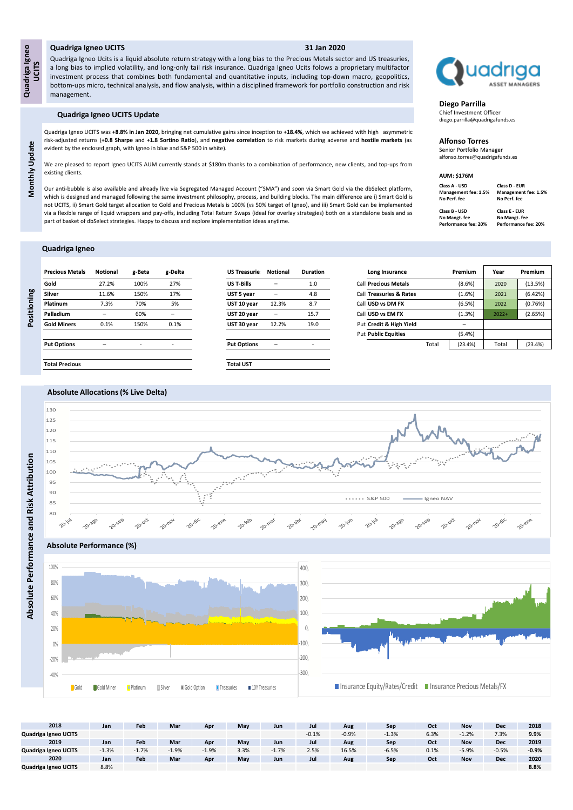| <b>Precious Metals</b> | <b>Notional</b>          | g-Beta | g-Delta                      | <b>US Treasurie</b> | <b>Notional</b>          | <b>Duration</b>          | Long Insurance                     | Premium           | Year    | Premium |
|------------------------|--------------------------|--------|------------------------------|---------------------|--------------------------|--------------------------|------------------------------------|-------------------|---------|---------|
| Gold                   | 27.2%                    | 100%   | 27%                          | <b>US T-Bills</b>   | -                        | 1.0                      | <b>Call Precious Metals</b>        | $(8.6\%)$         | 2020    | (13.5%) |
| Silver                 | 11.6%                    | 150%   | 17%                          | UST 5 year          | -                        | 4.8                      | <b>Call Treasuries &amp; Rates</b> | (1.6%)            | 2021    | (6.42%) |
| Platinum               | 7.3%                     | 70%    | 5%                           | UST 10 year         | 12.3%                    | 8.7                      | Call USD vs DM FX                  | (6.5%)            | 2022    | (0.76%) |
| Palladium              | $\overline{\phantom{m}}$ | 60%    | $\qquad \qquad \blacksquare$ | UST 20 year         | $\qquad \qquad -$        | 15.7                     | Call USD vs EM FX                  | (1.3%)            | $2022+$ | (2.65%) |
| <b>Gold Miners</b>     | 0.1%                     | 150%   | 0.1%                         | UST 30 year         | 12.2%                    | 19.0                     | Put Credit & High Yield            | $\qquad \qquad -$ |         |         |
|                        |                          |        |                              |                     |                          |                          | <b>Put Public Equities</b>         | (5.4%)            |         |         |
| <b>Put Options</b>     | $\overline{\phantom{0}}$ |        |                              | <b>Put Options</b>  | $\overline{\phantom{0}}$ | $\overline{\phantom{0}}$ | Total                              | (23.4%)           | Total   | (23.4%) |
|                        |                          |        |                              |                     |                          |                          |                                    |                   |         |         |

■ Insurance Equity/Rates/Credit ■ Insurance Precious Metals/FX

| <b>Precious Metals</b> | <b>Notional</b> | g-Beta | g-Delta                  | <b>US Treasurie</b> | <b>Notional</b>   | <b>Duration</b> | Long Insurance                     | Prem                     |
|------------------------|-----------------|--------|--------------------------|---------------------|-------------------|-----------------|------------------------------------|--------------------------|
| Gold                   | 27.2%           | 100%   | 27%                      | <b>US T-Bills</b>   | $\qquad \qquad -$ | 1.0             | <b>Call Precious Metals</b>        | (8.                      |
| <b>Silver</b>          | 11.6%           | 150%   | 17%                      | UST 5 year          | $\qquad \qquad$   | 4.8             | <b>Call Treasuries &amp; Rates</b> | (1.                      |
| Platinum               | 7.3%            | 70%    | 5%                       | UST 10 year         | 12.3%             | 8.7             | Call USD vs DM FX                  | (6.                      |
| Palladium              | -               | 60%    | $\overline{\phantom{0}}$ | UST 20 year         | $\qquad \qquad -$ | 15.7            | Call USD vs EM FX                  | (1.                      |
| <b>Gold Miners</b>     | 0.1%            | 150%   | 0.1%                     | UST 30 year         | 12.2%             | 19.0            | Put Credit & High Yield            | $\overline{\phantom{0}}$ |
|                        |                 |        |                          |                     |                   |                 | <b>Put Public Equities</b>         | (5.                      |
| <b>Put Options</b>     | $\qquad \qquad$ |        | $\overline{\phantom{a}}$ | <b>Put Options</b>  | $\qquad \qquad -$ |                 | Total                              | (23)                     |
|                        |                 |        |                          |                     |                   |                 |                                    |                          |
| <b>Total Precious</b>  |                 |        |                          | <b>Total UST</b>    |                   |                 |                                    |                          |

| <b>US Treasurie</b> | <b>Notional</b> | <b>Duration</b> |
|---------------------|-----------------|-----------------|
| <b>US T-Bills</b>   |                 | 1.0             |
| UST 5 year          |                 | 4.8             |
| UST 10 year         | 12.3%           | 8.7             |
| UST 20 year         |                 | 15.7            |
| UST 30 year         | 12.2%           | 19.0            |
|                     |                 |                 |
| <b>Put Options</b>  |                 |                 |
|                     |                 |                 |
| Total LIST          |                 |                 |

Quadriga Igneo UCITS was **+8.8% in Jan 2020,** bringing net cumulative gains since inception to **+18.4%**, which we achieved with high asymmetric risk-adjusted returns (**+0.8 Sharpe** and **+1.8 Sortino Ratio**), and **negative correlation** to risk markets during adverse and **hostile markets** (as evident by the enclosed graph, with Igneo in blue and S&P 500 in white).

| 2018                        | Jan     | Feb     | <b>Mar</b> | Apr     | May  | Jun     | Jul     | Aug     | <b>Sep</b> | Oct  | <b>Nov</b> | <b>Dec</b> | 2018    |
|-----------------------------|---------|---------|------------|---------|------|---------|---------|---------|------------|------|------------|------------|---------|
| <b>Quadriga Igneo UCITS</b> |         |         |            |         |      |         | $-0.1%$ | $-0.9%$ | $-1.3%$    | 6.3% | $-1.2%$    | 7.3%       | 9.9%    |
| 2019                        | Jan     | Feb     | <b>Mar</b> | Apr     | May  | Jun     | Jul     | Aug     | <b>Sep</b> | Oct  | <b>Nov</b> | <b>Dec</b> | 2019    |
| <b>Quadriga Igneo UCITS</b> | $-1.3%$ | $-1.7%$ | $-1.9%$    | $-1.9%$ | 3.3% | $-1.7%$ | 2.5%    | 16.5%   | $-6.5%$    | 0.1% | $-5.9%$    | $-0.5%$    | $-0.9%$ |
| 2020                        | Jan     | Feb     | <b>Mar</b> | Apr     | May  | Jun     | Jul     | Aug     | Sep        | Oct  | <b>Nov</b> | <b>Dec</b> | 2020    |
| <b>Quadriga Igneo UCITS</b> | 8.8%    |         |            |         |      |         |         |         |            |      |            |            | 8.8%    |

 $-300,$ 

 $-200$ 

 $-100$ 

 $\theta$ 

We are pleased to report Igneo UCITS AUM currently stands at \$180m thanks to a combination of performance, new clients, and top-ups from existing clients.

100,

Our anti-bubble is also available and already live via Segregated Managed Account ("SMA") and soon via Smart Gold via the dbSelect platform, which is designed and managed following the same investment philosophy, process, and building blocks. The main difference are i) Smart Gold is not UCITS, ii) Smart Gold target allocation to Gold and Precious Metals is 100% (vs 50% target of Igneo), and iii) Smart Gold can be implemented via a flexible range of liquid wrappers and pay-offs, including Total Return Swaps (ideal for overlay strategies) both on a standalone basis and as part of basket of dbSelect strategies. Happy to discuss and explore implementation ideas anytime.

# **Juadriga**

**Diego Parrilla**  Chief Investment Officer diego.parrilla@quadrigafunds.es

## **Alfonso Torres**

Senior Portfolio Manager alfonso.torres@quadrigafunds.es

### **AUM: \$176M**

# **Quadriga Igneo**



**Positioning**



**Monthly Update** 

-40%

Gold Gold Miner **Platinum** Silver Gold Option Treasuries 10Y Treasuries

-20%

0%

20%

40%

# **Quadriga Igneo UCITS 31 Jan 2020**

Quadriga Igneo Ucits is a liquid absolute return strategy with a long bias to the Precious Metals sector and US treasuries, a long bias to implied volatility, and long-only tail risk insurance. Quadriga Igneo Ucits folows a proprietary multifactor investment process that combines both fundamental and quantitative inputs, including top-down macro, geopolitics, bottom-ups micro, technical analysis, and flow analysis, within a disciplined framework for portfolio construction and risk management.

# **Quadriga Igneo UCITS Update**

**Class A - USD Management fee: 1.5% No Perf. fee**

**Class B - USD No Mangt. fee Performance fee: 20%**

**Class D - EUR Management fee: 1.5% No Perf. fee**

**Class E - EUR No Mangt. fee Performance fee: 20%**